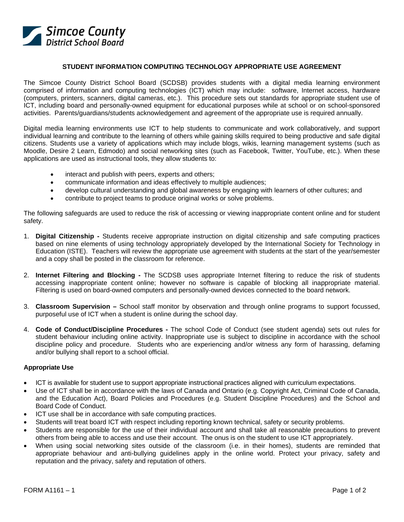

## **STUDENT INFORMATION COMPUTING TECHNOLOGY APPROPRIATE USE AGREEMENT**

The Simcoe County District School Board (SCDSB) provides students with a digital media learning environment comprised of information and computing technologies (ICT) which may include: software, Internet access, hardware (computers, printers, scanners, digital cameras, etc.). This procedure sets out standards for appropriate student use of ICT, including board and personally-owned equipment for educational purposes while at school or on school-sponsored activities. Parents/guardians/students acknowledgement and agreement of the appropriate use is required annually.

Digital media learning environments use ICT to help students to communicate and work collaboratively, and support individual learning and contribute to the learning of others while gaining skills required to being productive and safe digital citizens. Students use a variety of applications which may include blogs, wikis, learning management systems (such as Moodle, Desire 2 Learn, Edmodo) and social networking sites (such as Facebook, Twitter, YouTube, etc.). When these applications are used as instructional tools, they allow students to:

- interact and publish with peers, experts and others;
- communicate information and ideas effectively to multiple audiences;
- develop cultural understanding and global awareness by engaging with learners of other cultures; and
- contribute to project teams to produce original works or solve problems.

The following safeguards are used to reduce the risk of accessing or viewing inappropriate content online and for student safety.

- 1. **Digital Citizenship** Students receive appropriate instruction on digital citizenship and safe computing practices based on nine elements of using technology appropriately developed by the International Society for Technology in Education (ISTE). Teachers will review the appropriate use agreement with students at the start of the year/semester and a copy shall be posted in the classroom for reference.
- 2. **Internet Filtering and Blocking** The SCDSB uses appropriate Internet filtering to reduce the risk of students accessing inappropriate content online; however no software is capable of blocking all inappropriate material. Filtering is used on board-owned computers and personally-owned devices connected to the board network.
- 3. **Classroom Supervision** School staff monitor by observation and through online programs to support focussed, purposeful use of ICT when a student is online during the school day.
- 4. **Code of Conduct/Discipline Procedures** The school Code of Conduct (see student agenda) sets out rules for student behaviour including online activity. Inappropriate use is subject to discipline in accordance with the school discipline policy and procedure. Students who are experiencing and/or witness any form of harassing, defaming and/or bullying shall report to a school official.

## **Appropriate Use**

- ICT is available for student use to support appropriate instructional practices aligned with curriculum expectations.
- Use of ICT shall be in accordance with the laws of Canada and Ontario (e.g. Copyright Act, Criminal Code of Canada, and the Education Act), Board Policies and Procedures (e.g. Student Discipline Procedures) and the School and Board Code of Conduct.
- ICT use shall be in accordance with safe computing practices.
- Students will treat board ICT with respect including reporting known technical, safety or security problems.
- Students are responsible for the use of their individual account and shall take all reasonable precautions to prevent others from being able to access and use their account. The onus is on the student to use ICT appropriately.
- When using social networking sites outside of the classroom (i.e. in their homes), students are reminded that appropriate behaviour and anti-bullying guidelines apply in the online world. Protect your privacy, safety and reputation and the privacy, safety and reputation of others.